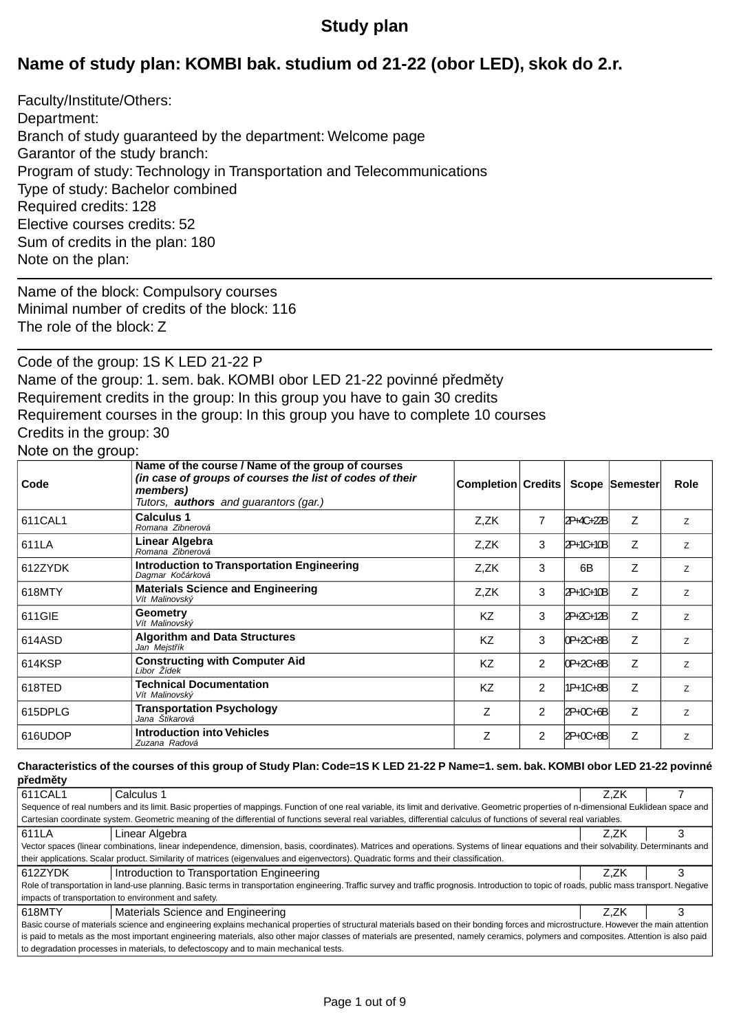## **Study plan**

## **Name of study plan: KOMBI bak. studium od 21-22 (obor LED), skok do 2.r.**

Faculty/Institute/Others: Department: Branch of study guaranteed by the department: Welcome page Garantor of the study branch: Program of study: Technology in Transportation and Telecommunications Type of study: Bachelor combined Required credits: 128 Elective courses credits: 52 Sum of credits in the plan: 180 Note on the plan:

Name of the block: Compulsory courses Minimal number of credits of the block: 116 The role of the block: Z

Code of the group: 1S K LED 21-22 P Name of the group: 1. sem. bak. KOMBI obor LED 21-22 povinné p edm ty Requirement credits in the group: In this group you have to gain 30 credits Requirement courses in the group: In this group you have to complete 10 courses Credits in the group: 30 Note on the group:

#### **Completion Credits Scope Semester Role Name of the course / Name of the group of courses** *(in case of groups of courses the list of codes of their members) Tutors, authors and guarantors (gar.)* **Code Calculus 1** Z,ZK 7 2P+4C+22B Z Z<br>Personal Zibestation 2002 *Romana Zibnerová* 611CAL1 **Linear Alg** Z,ZK 3 2P+1C+10B Z <sup>Z</sup> **ebra** *Romana Zibnerová* 611LA Z,ZK | 3 | 6B | Z | z **Introduction to Transportation Engineering** *Dagmar Ko árková* 612ZYDK **Materials Science and Engineering**  $Z$ ,  $Z$   $Z$   $Z$   $3$   $2P+1C+10B$   $Z$   $Z$ *Vít Malinovský* 618MTY **Geometr** KZ 3 2P+2C+12B Z <sup>Z</sup> **Geometry** *Vít Malinovský* 611GIE **Algorithm and Data Structures** KZ 3 0P+2C+8B Z z<br>Jan Meist ik *Jan Mejst ík* 614ASD **Constructing with Computer Aid**  $\begin{array}{|c|c|c|c|c|c|}\n\hline\n\text{Libor Zídek} & \text{Z} & \text{Z} & \text{Z} & \text{Z} \\
\hline\n\end{array}$ *Libor Žídek* 614KSP **T** KZ 2 1P+1C+8B Z <sup>Z</sup> **echnical Documentation** *Vít Malinovský* 618TED **T** Z 2 2P+0C+6B Z <sup>Z</sup> **ransportation Psychology** *Jana Štikarová* 615DPLG  $Z$  2  $2P+0C+8B$   $Z$   $Z$ **Introduction into Vehicles** *Zuzana Radová* 616UDOP

#### **Characteristics of the courses of this group of Study Plan: Code=1S K LED 21-22 P Name=1. sem. bak. KOMBI obor LED 21-22 povinné p edm ty**

| .                                                                                                                                                                                     |                                                                                                                                                                                               |      |  |  |  |  |  |
|---------------------------------------------------------------------------------------------------------------------------------------------------------------------------------------|-----------------------------------------------------------------------------------------------------------------------------------------------------------------------------------------------|------|--|--|--|--|--|
| 611CAL1                                                                                                                                                                               | Calculus 1                                                                                                                                                                                    | Z.ZK |  |  |  |  |  |
|                                                                                                                                                                                       | Sequence of real numbers and its limit. Basic properties of mappings. Function of one real variable, its limit and derivative. Geometric properties of n-dimensional Euklidean space and      |      |  |  |  |  |  |
|                                                                                                                                                                                       | Cartesian coordinate system. Geometric meaning of the differential of functions several real variables, differential calculus of functions of several real variables.                         |      |  |  |  |  |  |
| 611LA                                                                                                                                                                                 | Z.ZK                                                                                                                                                                                          |      |  |  |  |  |  |
|                                                                                                                                                                                       | Vector spaces (linear combinations, linear independence, dimension, basis, coordinates). Matrices and operations. Systems of linear equations and their solvability. Determinants and         |      |  |  |  |  |  |
| their applications. Scalar product. Similarity of matrices (eigenvalues and eigenvectors). Quadratic forms and their classification.                                                  |                                                                                                                                                                                               |      |  |  |  |  |  |
| 612ZYDK                                                                                                                                                                               | Introduction to Transportation Engineering                                                                                                                                                    | Z.ZK |  |  |  |  |  |
|                                                                                                                                                                                       | Role of transportation in land-use planning. Basic terms in transportation engineering. Traffic survey and traffic prognosis. Introduction to topic of roads, public mass transport. Negative |      |  |  |  |  |  |
|                                                                                                                                                                                       | impacts of transportation to environment and safety.                                                                                                                                          |      |  |  |  |  |  |
| 618MTY                                                                                                                                                                                | Materials Science and Engineering                                                                                                                                                             | Z.ZK |  |  |  |  |  |
| Basic course of materials science and engineering explains mechanical properties of structural materials based on their bonding forces and microstructure. However the main attention |                                                                                                                                                                                               |      |  |  |  |  |  |
| is paid to metals as the most important engineering materials, also other major classes of materials are presented, namely ceramics, polymers and composites. Attention is also paid  |                                                                                                                                                                                               |      |  |  |  |  |  |
|                                                                                                                                                                                       | to degradation processes in materials, to defectoscopy and to main mechanical tests.                                                                                                          |      |  |  |  |  |  |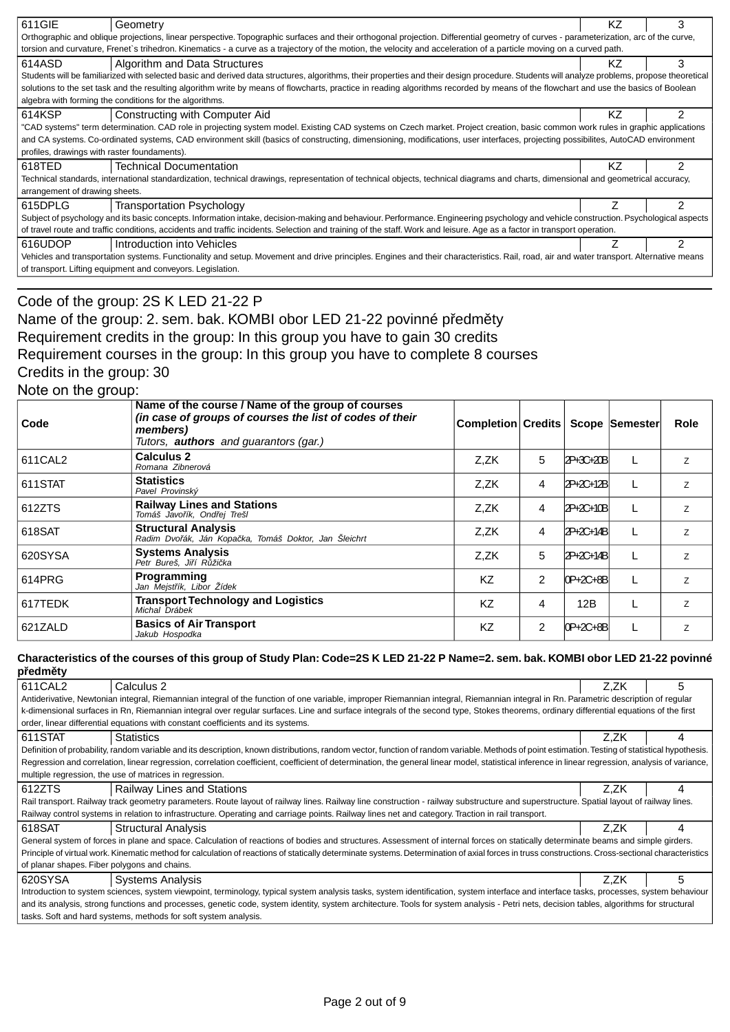| 611GIE                                                                                                                                                                                 | Geometry                                                                                                                                                                                    | KZ. |               |  |  |  |
|----------------------------------------------------------------------------------------------------------------------------------------------------------------------------------------|---------------------------------------------------------------------------------------------------------------------------------------------------------------------------------------------|-----|---------------|--|--|--|
|                                                                                                                                                                                        | Orthographic and oblique projections, linear perspective. Topographic surfaces and their orthogonal projection. Differential geometry of curves - parameterization, arc of the curve,       |     |               |  |  |  |
|                                                                                                                                                                                        | torsion and curvature, Frenet's trihedron. Kinematics - a curve as a trajectory of the motion, the velocity and acceleration of a particle moving on a curved path.                         |     |               |  |  |  |
| 614ASD                                                                                                                                                                                 | Algorithm and Data Structures                                                                                                                                                               | KZ  | 3             |  |  |  |
|                                                                                                                                                                                        | Students will be familiarized with selected basic and derived data structures, algorithms, their properties and their design procedure. Students will analyze problems, propose theoretical |     |               |  |  |  |
|                                                                                                                                                                                        | solutions to the set task and the resulting algorithm write by means of flowcharts, practice in reading algorithms recorded by means of the flowchart and use the basics of Boolean         |     |               |  |  |  |
|                                                                                                                                                                                        | algebra with forming the conditions for the algorithms.                                                                                                                                     |     |               |  |  |  |
| 614KSP                                                                                                                                                                                 | Constructing with Computer Aid                                                                                                                                                              | ΚZ  | 2             |  |  |  |
|                                                                                                                                                                                        | "CAD systems" term determination. CAD role in projecting system model. Existing CAD systems on Czech market. Project creation, basic common work rules in graphic applications              |     |               |  |  |  |
|                                                                                                                                                                                        | and CA systems. Co-ordinated systems, CAD environment skill (basics of constructing, dimensioning, modifications, user interfaces, projecting possibilites, AutoCAD environment             |     |               |  |  |  |
| profiles, drawings with raster foundaments).                                                                                                                                           |                                                                                                                                                                                             |     |               |  |  |  |
| 618TED                                                                                                                                                                                 | <b>Technical Documentation</b>                                                                                                                                                              | ΚZ  | 2             |  |  |  |
|                                                                                                                                                                                        | Technical standards, international standardization, technical drawings, representation of technical objects, technical diagrams and charts, dimensional and geometrical accuracy,           |     |               |  |  |  |
| arrangement of drawing sheets.                                                                                                                                                         |                                                                                                                                                                                             |     |               |  |  |  |
| 615DPLG                                                                                                                                                                                | <b>Transportation Psychology</b>                                                                                                                                                            |     |               |  |  |  |
|                                                                                                                                                                                        | Subject of psychology and its basic concepts. Information intake, decision-making and behaviour. Performance. Engineering psychology and vehicle construction. Psychological aspects        |     |               |  |  |  |
| of travel route and traffic conditions, accidents and traffic incidents. Selection and training of the staff. Work and leisure. Age as a factor in transport operation.                |                                                                                                                                                                                             |     |               |  |  |  |
| 616UDOP                                                                                                                                                                                | Introduction into Vehicles                                                                                                                                                                  |     | $\mathcal{P}$ |  |  |  |
| Vehicles and transportation systems. Functionality and setup. Movement and drive principles. Engines and their characteristics. Rail, road, air and water transport. Alternative means |                                                                                                                                                                                             |     |               |  |  |  |
|                                                                                                                                                                                        | of transport. Lifting equipment and conveyors. Legislation.                                                                                                                                 |     |               |  |  |  |
|                                                                                                                                                                                        |                                                                                                                                                                                             |     |               |  |  |  |

## Code of the group: 2S K LED 21-22 P Name of the group: 2. sem. bak. KOMBI obor LED 21-22 povinné p edm ty Requirement credits in the group: In this group you have to gain 30 credits Requirement courses in the group: In this group you have to complete 8 courses Credits in the group: 30 Note on the group:

| Code    | Name of the course / Name of the group of courses<br>(in case of groups of courses the list of codes of their<br>members)<br>Tutors, <b>authors</b> and quarantors (gar.) | <b>Completion Credits</b> |                |           | Scope Semester | Role           |
|---------|---------------------------------------------------------------------------------------------------------------------------------------------------------------------------|---------------------------|----------------|-----------|----------------|----------------|
| 611CAL2 | Calculus 2<br>Romana Zibnerová                                                                                                                                            | Z,ZK                      | 5              | 2P+3C+20B |                | Z              |
| 611STAT | <b>Statistics</b><br>Pavel Provinský                                                                                                                                      | Z,ZK                      | 4              | 2P+2C+12B |                | Z              |
| 612ZTS  | <b>Railway Lines and Stations</b><br>Tomáš Javo ík, Ond ej Trešl                                                                                                          | Z,ZK                      | 4              | 2P+2C+10B |                | Z              |
| 618SAT  | <b>Structural Analysis</b><br>Radim Dvo ák, Ján Kopa ka, Tomáš Doktor, Jan Šleichrt                                                                                       | Z.ZK                      | 4              | 2P+2C+14B |                | Z              |
| 620SYSA | <b>Systems Analysis</b><br>Petr Bureš, Ji í R ži ka                                                                                                                       | Z,ZK                      | 5              | 2P+2C+14B |                | $\overline{z}$ |
| 614PRG  | <b>Programming</b><br>Jan Mejst ík, Libor Žídek                                                                                                                           | KZ                        | $\overline{2}$ | 0P+2C+8B  |                | Z              |
| 617TEDK | <b>Transport Technology and Logistics</b><br>Michal Drábek                                                                                                                | KZ                        | 4              | 12B       |                | Z              |
| 621ZALD | <b>Basics of Air Transport</b><br>Jakub Hospodka                                                                                                                          | KZ                        | 2              | 0P+2C+8B  |                | Z              |

### **Characteristics of the courses of this group of Study Plan: Code=2S K LED 21-22 P Name=2. sem. bak. KOMBI obor LED 21-22 povinné p edm ty**

| 611CAL2                                                                                                                                                                                 | Calculus 2                                                                                                                                                                                        | Z.ZK | 5 |  |  |  |
|-----------------------------------------------------------------------------------------------------------------------------------------------------------------------------------------|---------------------------------------------------------------------------------------------------------------------------------------------------------------------------------------------------|------|---|--|--|--|
|                                                                                                                                                                                         | Antiderivative, Newtonian integral, Riemannian integral of the function of one variable, improper Riemannian integral, Riemannian integral in Rn. Parametric description of regular               |      |   |  |  |  |
|                                                                                                                                                                                         | k-dimensional surfaces in Rn, Riemannian integral over regular surfaces. Line and surface integrals of the second type, Stokes theorems, ordinary differential equations of the first             |      |   |  |  |  |
|                                                                                                                                                                                         | order, linear differential equations with constant coefficients and its systems.                                                                                                                  |      |   |  |  |  |
| 611STAT                                                                                                                                                                                 | <b>Statistics</b>                                                                                                                                                                                 | Z.ZK |   |  |  |  |
|                                                                                                                                                                                         | Definition of probability, random variable and its description, known distributions, random vector, function of random variable. Methods of point estimation. Testing of statistical hypothesis.  |      |   |  |  |  |
|                                                                                                                                                                                         | Regression and correlation, linear regression, correlation coefficient, coefficient of determination, the general linear model, statistical inference in linear regression, analysis of variance, |      |   |  |  |  |
|                                                                                                                                                                                         | multiple regression, the use of matrices in regression.                                                                                                                                           |      |   |  |  |  |
| 612ZTS                                                                                                                                                                                  | <b>Railway Lines and Stations</b>                                                                                                                                                                 | Z.ZK |   |  |  |  |
|                                                                                                                                                                                         | Rail transport. Railway track geometry parameters. Route layout of railway lines. Railway line construction - railway substructure and superstructure. Spatial layout of railway lines.           |      |   |  |  |  |
|                                                                                                                                                                                         | Railway control systems in relation to infrastructure. Operating and carriage points. Railway lines net and category. Traction in rail transport.                                                 |      |   |  |  |  |
| 618SAT                                                                                                                                                                                  | <b>Structural Analysis</b>                                                                                                                                                                        | Z.ZK |   |  |  |  |
|                                                                                                                                                                                         | General system of forces in plane and space. Calculation of reactions of bodies and structures. Assessment of internal forces on statically determinate beams and simple girders.                 |      |   |  |  |  |
|                                                                                                                                                                                         | Principle of virtual work. Kinematic method for calculation of reactions of statically determinate systems. Determination of axial forces in truss constructions. Cross-sectional characteristics |      |   |  |  |  |
| of planar shapes. Fiber polygons and chains.                                                                                                                                            |                                                                                                                                                                                                   |      |   |  |  |  |
| 620SYSA                                                                                                                                                                                 | <b>Systems Analysis</b>                                                                                                                                                                           | Z.ZK | 5 |  |  |  |
| Introduction to system sciences, system viewpoint, terminology, typical system analysis tasks, system identification, system interface and interface tasks, processes, system behaviour |                                                                                                                                                                                                   |      |   |  |  |  |
|                                                                                                                                                                                         | and its analysis, strong functions and processes, genetic code, system identity, system architecture. Tools for system analysis - Petri nets, decision tables, algorithms for structural          |      |   |  |  |  |
|                                                                                                                                                                                         | tasks. Soft and hard systems, methods for soft system analysis.                                                                                                                                   |      |   |  |  |  |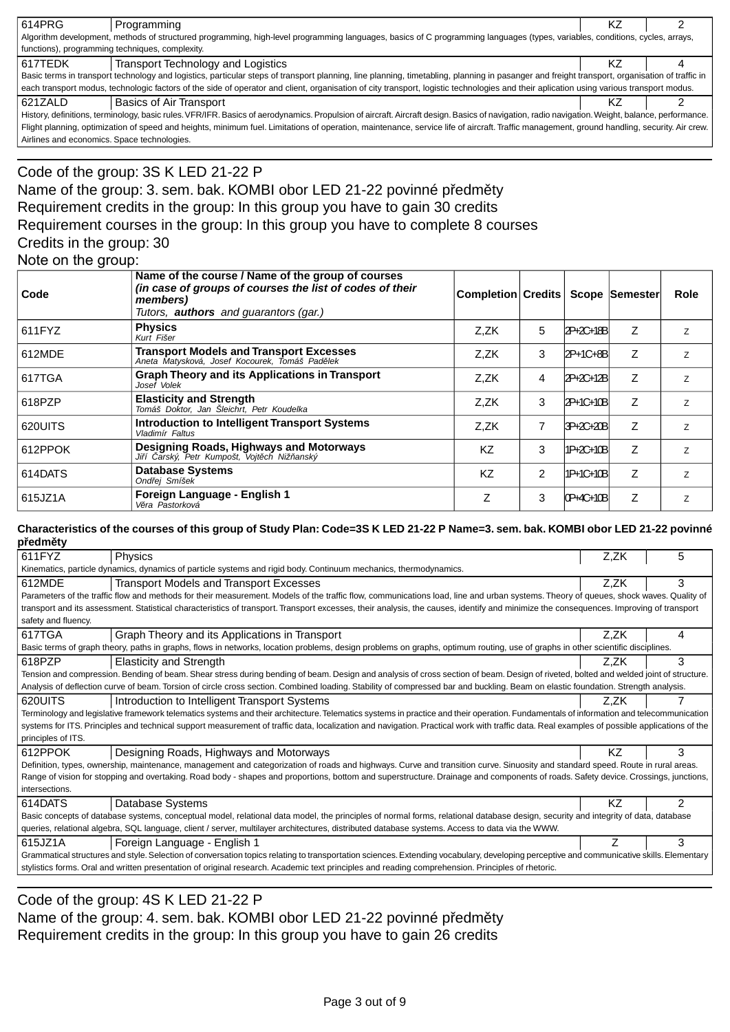| 614PRG                                                                                                                                                                                          | Programming                                                                                                                                                                                   | ΚZ |  |  |  |
|-------------------------------------------------------------------------------------------------------------------------------------------------------------------------------------------------|-----------------------------------------------------------------------------------------------------------------------------------------------------------------------------------------------|----|--|--|--|
| Algorithm development, methods of structured programming, high-level programming languages, basics of C programming languages (types, variables, conditions, cycles, arrays,                    |                                                                                                                                                                                               |    |  |  |  |
|                                                                                                                                                                                                 | functions), programming techniques, complexity.                                                                                                                                               |    |  |  |  |
| 617TEDK                                                                                                                                                                                         | Transport Technology and Logistics                                                                                                                                                            | ΚZ |  |  |  |
|                                                                                                                                                                                                 | Basic terms in transport technology and logistics, particular steps of transport planning, line planning, timetabling, planning in pasanger and freight transport, organisation of traffic in |    |  |  |  |
|                                                                                                                                                                                                 | each transport modus, technologic factors of the side of operator and client, organisation of city transport, logistic technologies and their aplication using various transport modus.       |    |  |  |  |
| 621ZALD                                                                                                                                                                                         | Basics of Air Transport                                                                                                                                                                       | ΚZ |  |  |  |
| History, definitions, terminology, basic rules. VFR/IFR. Basics of aerodynamics. Propulsion of aircraft. Aircraft design. Basics of navigation, radio navigation. Weight, balance, performance. |                                                                                                                                                                                               |    |  |  |  |
|                                                                                                                                                                                                 | Flight planning, optimization of speed and heights, minimum fuel. Limitations of operation, maintenance, service life of aircraft. Traffic management, ground handling, security. Air crew.   |    |  |  |  |

Airlines and economics. Space technologies.

### Code of the group: 3S K LED 21-22 P Name of the group: 3. sem. bak. KOMBI obor LED 21-22 povinné p edm ty Requirement credits in the group: In this group you have to gain 30 credits Requirement courses in the group: In this group you have to complete 8 courses Credits in the group: 30 Note on the group:

| Code    | Name of the course / Name of the group of courses<br>(in case of groups of courses the list of codes of their<br>members)<br>Tutors, <b>authors</b> and guarantors (gar.) | <b>Completion Credits</b> |   |           | Scope Semester | Role           |
|---------|---------------------------------------------------------------------------------------------------------------------------------------------------------------------------|---------------------------|---|-----------|----------------|----------------|
| 611FYZ  | <b>Physics</b><br>Kurt Fišer                                                                                                                                              | Z.ZK                      | 5 | 2P+2C+18B | Z              | Z              |
| 612MDE  | <b>Transport Models and Transport Excesses</b><br>Aneta Matysková, Josef Kocourek, Tomáš Pad lek                                                                          | Z.ZK                      | 3 | 2P+1C+8B  | Z              | Z              |
| 617TGA  | <b>Graph Theory and its Applications in Transport</b><br>Josef Volek                                                                                                      | Z,ZK                      | 4 | 2P+2C+12B | Z              | $\overline{z}$ |
| 618PZP  | <b>Elasticity and Strength</b><br>Tomáš Doktor, Jan Šleichrt, Petr Koudelka                                                                                               | Z,ZK                      | 3 | 2P+1C+10B | Z              | Z              |
| 620UITS | <b>Introduction to Intelligent Transport Systems</b><br>Vladimír Faltus                                                                                                   | Z.ZK                      | 7 | 3P+2C+20B | Z              | Z              |
| 612PPOK | Designing Roads, Highways and Motorways<br>arský, Petr Kumpošt, Vojt ch Niž anský<br>Ji í                                                                                 | KZ                        | 3 | 1P+2C+10B | Z              | $\overline{z}$ |
| 614DATS | <b>Database Systems</b><br>Ond ej Smíšek                                                                                                                                  | <b>KZ</b>                 | 2 | 1P+1C+10B | Z              | Z              |
| 615JZ1A | Foreign Language - English 1<br>V ra Pastorková                                                                                                                           | Z                         | 3 | 0P+4C+10B | Ζ              | Z              |

### **Characteristics of the courses of this group of Study Plan: Code=3S K LED 21-22 P Name=3. sem. bak. KOMBI obor LED 21-22 povinné p edm ty**

| ----- -<br>611FYZ                                                                                                                                                                        | Physics                                                                                                                                                                                     | Z,ZK | 5 |  |  |
|------------------------------------------------------------------------------------------------------------------------------------------------------------------------------------------|---------------------------------------------------------------------------------------------------------------------------------------------------------------------------------------------|------|---|--|--|
|                                                                                                                                                                                          | Kinematics, particle dynamics, dynamics of particle systems and rigid body. Continuum mechanics, thermodynamics.                                                                            |      |   |  |  |
| 612MDE                                                                                                                                                                                   | <b>Transport Models and Transport Excesses</b>                                                                                                                                              | Z,ZK | 3 |  |  |
|                                                                                                                                                                                          | Parameters of the traffic flow and methods for their measurement. Models of the traffic flow, communications load, line and urban systems. Theory of queues, shock waves. Quality of        |      |   |  |  |
|                                                                                                                                                                                          | transport and its assessment. Statistical characteristics of transport. Transport excesses, their analysis, the causes, identify and minimize the consequences. Improving of transport      |      |   |  |  |
| safety and fluency.                                                                                                                                                                      |                                                                                                                                                                                             |      |   |  |  |
| 617TGA                                                                                                                                                                                   | Graph Theory and its Applications in Transport                                                                                                                                              | Z.ZK | 4 |  |  |
|                                                                                                                                                                                          | Basic terms of graph theory, paths in graphs, flows in networks, location problems, design problems on graphs, optimum routing, use of graphs in other scientific disciplines.              |      |   |  |  |
| 618PZP                                                                                                                                                                                   | <b>Elasticity and Strength</b>                                                                                                                                                              | Z,ZK | 3 |  |  |
|                                                                                                                                                                                          | Tension and compression. Bending of beam. Shear stress during bending of beam. Design and analysis of cross section of beam. Design of riveted, bolted and welded joint of structure.       |      |   |  |  |
|                                                                                                                                                                                          | Analysis of deflection curve of beam. Torsion of circle cross section. Combined loading. Stability of compressed bar and buckling. Beam on elastic foundation. Strength analysis.           |      |   |  |  |
| 620UITS                                                                                                                                                                                  | Introduction to Intelligent Transport Systems                                                                                                                                               | Z.ZK |   |  |  |
|                                                                                                                                                                                          | Terminology and legislative framework telematics systems and their architecture. Telematics systems in practice and their operation. Fundamentals of information and telecommunication      |      |   |  |  |
|                                                                                                                                                                                          | systems for ITS. Principles and technical support measurement of traffic data, localization and navigation. Practical work with traffic data. Real examples of possible applications of the |      |   |  |  |
| principles of ITS.                                                                                                                                                                       |                                                                                                                                                                                             |      |   |  |  |
| 612PPOK                                                                                                                                                                                  | Designing Roads, Highways and Motorways                                                                                                                                                     | KZ.  | 3 |  |  |
|                                                                                                                                                                                          | Definition, types, ownership, maintenance, management and categorization of roads and highways. Curve and transition curve. Sinuosity and standard speed. Route in rural areas.             |      |   |  |  |
|                                                                                                                                                                                          | Range of vision for stopping and overtaking. Road body - shapes and proportions, bottom and superstructure. Drainage and components of roads. Safety device. Crossings, junctions,          |      |   |  |  |
| intersections.                                                                                                                                                                           |                                                                                                                                                                                             |      |   |  |  |
| 614DATS                                                                                                                                                                                  | Database Systems                                                                                                                                                                            | ΚZ   | 2 |  |  |
|                                                                                                                                                                                          | Basic concepts of database systems, conceptual model, relational data model, the principles of normal forms, relational database design, security and integrity of data, database           |      |   |  |  |
| queries, relational algebra, SQL language, client / server, multilayer architectures, distributed database systems. Access to data via the WWW.                                          |                                                                                                                                                                                             |      |   |  |  |
| 615JZ1A                                                                                                                                                                                  | Foreign Language - English 1                                                                                                                                                                |      | 3 |  |  |
| Grammatical structures and style. Selection of conversation topics relating to transportation sciences. Extending vocabulary, developing perceptive and communicative skills. Elementary |                                                                                                                                                                                             |      |   |  |  |
|                                                                                                                                                                                          | stylistics forms. Oral and written presentation of original research. Academic text principles and reading comprehension. Principles of rhetoric.                                           |      |   |  |  |
|                                                                                                                                                                                          |                                                                                                                                                                                             |      |   |  |  |

Code of the group: 4S K LED 21-22 P

Name of the group: 4. sem. bak. KOMBI obor LED 21-22 povinné p edm ty Requirement credits in the group: In this group you have to gain 26 credits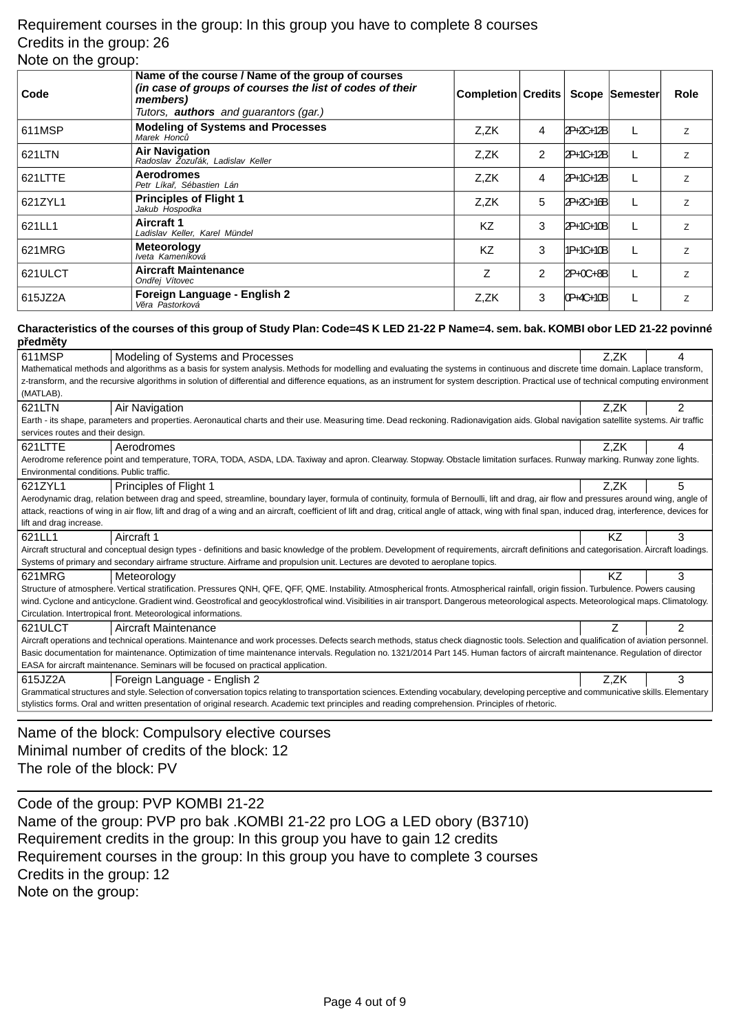### Requirement courses in the group: In this group you have to complete 8 courses Credits in the group: 26 Note on the group:

| Code    | Name of the course / Name of the group of courses<br>(in case of groups of courses the list of codes of their<br>members)<br>Tutors, <b>authors</b> and guarantors (gar.) | Completion Credits   Scope   Semester |                |             | <b>Role</b>    |
|---------|---------------------------------------------------------------------------------------------------------------------------------------------------------------------------|---------------------------------------|----------------|-------------|----------------|
| 611MSP  | <b>Modeling of Systems and Processes</b><br>Marek Honc                                                                                                                    | Z.ZK                                  | 4              | 2P+2C+12B   | Z              |
| 621LTN  | <b>Air Navigation</b><br>Radoslav Zozu ák, Ladislav Keller                                                                                                                | Z.ZK                                  | 2              | 2P+1C+12B   | Z              |
| 621LTTE | <b>Aerodromes</b><br>Petr Líka, Sébastien Lán                                                                                                                             | Z,ZK                                  | 4              | 2P+1C+12B   | Z              |
| 621ZYL1 | <b>Principles of Flight 1</b><br>Jakub Hospodka                                                                                                                           | Z.ZK                                  | 5              | 2P+2C+16B   | Z              |
| 621LL1  | Aircraft 1<br>Ladislav Keller, Karel Mündel                                                                                                                               | <b>KZ</b>                             | 3              | 2P+1C+10B   | Z              |
| 621MRG  | <b>Meteorology</b><br>Iveta Kameníková                                                                                                                                    | KZ                                    | 3              | 11P+1C+10Bl | Z              |
| 621ULCT | <b>Aircraft Maintenance</b><br>Ond ej Vítovec                                                                                                                             | Ζ                                     | $\overline{c}$ | 2P+0C+8B    | $\overline{z}$ |
| 615JZ2A | Foreign Language - English 2<br>V ra Pastorková                                                                                                                           | Z.ZK                                  | 3              | 0P+4C+10B   | Z              |

#### **Characteristics of the courses of this group of Study Plan: Code=4S K LED 21-22 P Name=4. sem. bak. KOMBI obor LED 21-22 povinné p edm ty**

| ----- -,                                                                                                                                                                                 |                                                                                                                                                                                                       |      |                |  |
|------------------------------------------------------------------------------------------------------------------------------------------------------------------------------------------|-------------------------------------------------------------------------------------------------------------------------------------------------------------------------------------------------------|------|----------------|--|
| 611MSP                                                                                                                                                                                   | Modeling of Systems and Processes                                                                                                                                                                     | Z,ZK | 4              |  |
|                                                                                                                                                                                          | Mathematical methods and algorithms as a basis for system analysis. Methods for modelling and evaluating the systems in continuous and discrete time domain. Laplace transform,                       |      |                |  |
|                                                                                                                                                                                          | z-transform, and the recursive algorithms in solution of differential and difference equations, as an instrument for system description. Practical use of technical computing environment             |      |                |  |
| (MATLAB).                                                                                                                                                                                |                                                                                                                                                                                                       |      |                |  |
| 621LTN                                                                                                                                                                                   | Air Navigation                                                                                                                                                                                        | Z,ZK | $\overline{2}$ |  |
|                                                                                                                                                                                          | Earth - its shape, parameters and properties. Aeronautical charts and their use. Measuring time. Dead reckoning. Radionavigation aids. Global navigation satellite systems. Air traffic               |      |                |  |
| services routes and their design.                                                                                                                                                        |                                                                                                                                                                                                       |      |                |  |
| 621LTTE                                                                                                                                                                                  | Aerodromes                                                                                                                                                                                            | Z,ZK | 4              |  |
|                                                                                                                                                                                          | Aerodrome reference point and temperature, TORA, TODA, ASDA, LDA. Taxiway and apron. Clearway. Stopway. Obstacle limitation surfaces. Runway marking. Runway zone lights.                             |      |                |  |
| Environmental conditions. Public traffic.                                                                                                                                                |                                                                                                                                                                                                       |      |                |  |
| 621ZYL1                                                                                                                                                                                  | Principles of Flight 1                                                                                                                                                                                | Z,ZK | 5              |  |
|                                                                                                                                                                                          | Aerodynamic drag, relation between drag and speed, streamline, boundary layer, formula of continuity, formula of Bernoulli, lift and drag, air flow and pressures around wing, angle of               |      |                |  |
|                                                                                                                                                                                          | attack, reactions of wing in air flow, lift and drag of a wing and an aircraft, coefficient of lift and drag, critical angle of attack, wing with final span, induced drag, interference, devices for |      |                |  |
| lift and drag increase.                                                                                                                                                                  |                                                                                                                                                                                                       |      |                |  |
| 621LL1                                                                                                                                                                                   | Aircraft 1                                                                                                                                                                                            | KZ   | 3              |  |
|                                                                                                                                                                                          | Aircraft structural and conceptual design types - definitions and basic knowledge of the problem. Development of requirements, aircraft definitions and categorisation. Aircraft loadings.            |      |                |  |
|                                                                                                                                                                                          | Systems of primary and secondary airframe structure. Airframe and propulsion unit. Lectures are devoted to aeroplane topics.                                                                          |      |                |  |
| 621MRG                                                                                                                                                                                   | Meteorology                                                                                                                                                                                           | KZ   | 3              |  |
|                                                                                                                                                                                          | Structure of atmosphere. Vertical stratification. Pressures QNH, QFE, QFF, QME. Instability. Atmospherical fronts. Atmospherical rainfall, origin fission. Turbulence. Powers causing                 |      |                |  |
|                                                                                                                                                                                          | wind. Cyclone and anticyclone. Gradient wind. Geostrofical and geocyklostrofical wind. Visibilities in air transport. Dangerous meteorological aspects. Meteorological maps. Climatology.             |      |                |  |
|                                                                                                                                                                                          | Circulation. Intertropical front. Meteorological informations.                                                                                                                                        |      |                |  |
| 621ULCT                                                                                                                                                                                  | Aircraft Maintenance                                                                                                                                                                                  | Z    | $\mathfrak{p}$ |  |
|                                                                                                                                                                                          | Aircraft operations and technical operations. Maintenance and work processes. Defects search methods, status check diagnostic tools. Selection and qualification of aviation personnel                |      |                |  |
|                                                                                                                                                                                          | Basic documentation for maintenance. Optimization of time maintenance intervals. Regulation no. 1321/2014 Part 145. Human factors of aircraft maintenance. Regulation of director                     |      |                |  |
|                                                                                                                                                                                          | EASA for aircraft maintenance. Seminars will be focused on practical application.                                                                                                                     |      |                |  |
| 615JZ2A                                                                                                                                                                                  | Foreign Language - English 2                                                                                                                                                                          | Z.ZK | 3              |  |
| Grammatical structures and style. Selection of conversation topics relating to transportation sciences. Extending vocabulary, developing perceptive and communicative skills. Elementary |                                                                                                                                                                                                       |      |                |  |
|                                                                                                                                                                                          | stylistics forms. Oral and written presentation of original research. Academic text principles and reading comprehension. Principles of rhetoric.                                                     |      |                |  |
|                                                                                                                                                                                          |                                                                                                                                                                                                       |      |                |  |

Name of the block: Compulsory elective courses Minimal number of credits of the block: 12 The role of the block: PV

Code of the group: PVP KOMBI 21-22 Name of the group: PVP pro bak .KOMBI 21-22 pro LOG a LED obory (B3710) Requirement credits in the group: In this group you have to gain 12 credits Requirement courses in the group: In this group you have to complete 3 courses Credits in the group: 12 Note on the group: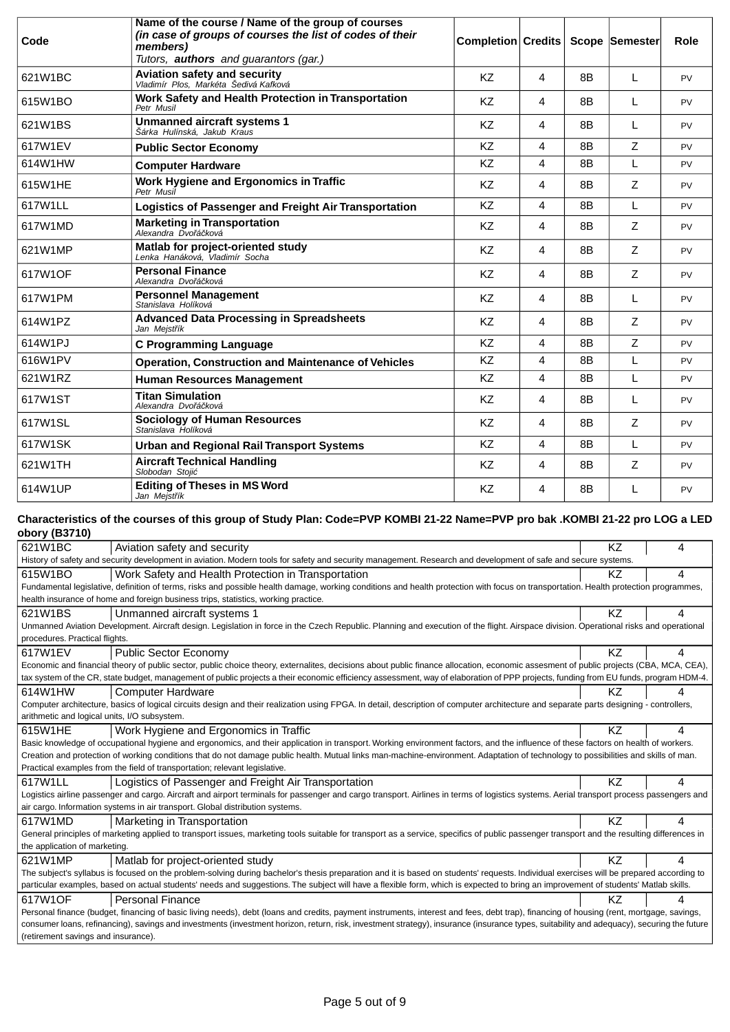| Code    | Name of the course / Name of the group of courses<br>(in case of groups of courses the list of codes of their<br>members)<br>Tutors, <b>authors</b> and guarantors (gar.) | Completion Credits |   |                | Scope Semester | Role      |
|---------|---------------------------------------------------------------------------------------------------------------------------------------------------------------------------|--------------------|---|----------------|----------------|-----------|
| 621W1BC | Aviation safety and security<br>Vladimír Plos, Markéta Šedivá Kafková                                                                                                     | K7                 | 4 | 8 <sub>B</sub> | L              | <b>PV</b> |
| 615W1BO | Work Safety and Health Protection in Transportation<br>Petr Musil                                                                                                         | KZ                 | 4 | 8B             | L              | PV        |
| 621W1BS | <b>Unmanned aircraft systems 1</b><br>Šárka Hulínská, Jakub Kraus                                                                                                         | KZ                 | 4 | 8B             | L              | PV        |
| 617W1FV | <b>Public Sector Economy</b>                                                                                                                                              | <b>KZ</b>          | 4 | 8 <sub>B</sub> | Z              | <b>PV</b> |
| 614W1HW | <b>Computer Hardware</b>                                                                                                                                                  | KZ                 | 4 | 8B             | L              | <b>PV</b> |
| 615W1HE | Work Hygiene and Ergonomics in Traffic<br>Petr Musil                                                                                                                      | <b>KZ</b>          | 4 | 8B             | Ζ              | PV        |
| 617W1LL | Logistics of Passenger and Freight Air Transportation                                                                                                                     | KZ                 | 4 | 8B             | L              | PV        |
| 617W1MD | <b>Marketing in Transportation</b><br>Alexandra Dvo á ková                                                                                                                | <b>KZ</b>          | 4 | 8B             | Z              | PV        |
| 621W1MP | Matlab for project-oriented study<br>Lenka Hanáková. Vladimír Socha                                                                                                       | <b>KZ</b>          | 4 | 8B             | Ζ              | PV        |
| 617W1OF | <b>Personal Finance</b><br>Alexandra Dvo á ková                                                                                                                           | <b>KZ</b>          | 4 | 8B             | Ζ              | PV        |
| 617W1PM | <b>Personnel Management</b><br>Stanislava Holíková                                                                                                                        | <b>KZ</b>          | 4 | 8B             | L              | PV        |
| 614W1PZ | <b>Advanced Data Processing in Spreadsheets</b><br>Jan Mejst ík                                                                                                           | KZ                 | 4 | 8B             | Ζ              | PV        |
| 614W1PJ | <b>C Programming Language</b>                                                                                                                                             | KZ                 | 4 | 8B             | Z              | PV        |
| 616W1PV | <b>Operation, Construction and Maintenance of Vehicles</b>                                                                                                                | KZ                 | 4 | 8B             | L              | PV        |
| 621W1RZ | <b>Human Resources Management</b>                                                                                                                                         | <b>KZ</b>          | 4 | 8B             | L              | PV        |
| 617W1ST | <b>Titan Simulation</b><br>Alexandra Dvo á ková                                                                                                                           | <b>KZ</b>          | 4 | 8B             | L              | PV        |
| 617W1SL | <b>Sociology of Human Resources</b><br>Stanislava Holíková                                                                                                                | <b>KZ</b>          | 4 | 8B             | Z              | PV        |
| 617W1SK | <b>Urban and Regional Rail Transport Systems</b>                                                                                                                          | <b>KZ</b>          | 4 | 8B             | L              | <b>PV</b> |
| 621W1TH | <b>Aircraft Technical Handling</b><br>Slobodan Stoii                                                                                                                      | <b>KZ</b>          | 4 | 8B             | Z              | PV        |
| 614W1UP | <b>Editing of Theses in MS Word</b><br>Jan Mejst ík                                                                                                                       | KZ                 | 4 | 8B             | L              | PV        |

### **Characteristics of the courses of this group of Study Plan: Code=PVP KOMBI 21-22 Name=PVP pro bak .KOMBI 21-22 pro LOG a LED obory (B3710)**

| 621W1BC<br>Aviation safety and security                                                                                                                                                    | ΚZ | Δ |
|--------------------------------------------------------------------------------------------------------------------------------------------------------------------------------------------|----|---|
| History of safety and security development in aviation. Modern tools for safety and security management. Research and development of safe and secure systems.                              |    |   |
| 615W1BO<br>Work Safety and Health Protection in Transportation                                                                                                                             | KZ | 4 |
| Fundamental legislative, definition of terms, risks and possible health damage, working conditions and health protection with focus on transportation. Health protection programmes,       |    |   |
| health insurance of home and foreign business trips, statistics, working practice.                                                                                                         |    |   |
| 621W1BS<br>Unmanned aircraft systems 1                                                                                                                                                     | KZ | 4 |
| Unmanned Aviation Development. Aircraft design. Legislation in force in the Czech Republic. Planning and execution of the flight. Airspace division. Operational risks and operational     |    |   |
| procedures. Practical flights.                                                                                                                                                             |    |   |
| 617W1EV<br><b>Public Sector Economy</b>                                                                                                                                                    | KZ | 4 |
| Economic and financial theory of public sector, public choice theory, externalites, decisions about public finance allocation, economic assesment of public projects (CBA, MCA, CEA),      |    |   |
| tax system of the CR, state budget, management of public projects a their economic efficiency assessment, way of elaboration of PPP projects, funding from EU funds, program HDM-4.        |    |   |
| 614W1HW<br><b>Computer Hardware</b>                                                                                                                                                        | ΚZ |   |
| Computer architecture, basics of logical circuits design and their realization using FPGA. In detail, description of computer architecture and separate parts designing - controllers,     |    |   |
| arithmetic and logical units, I/O subsystem.                                                                                                                                               |    |   |
| 615W1HE<br>Work Hygiene and Ergonomics in Traffic                                                                                                                                          | KZ | 4 |
| Basic knowledge of occupational hygiene and ergonomics, and their application in transport. Working environment factors, and the influence of these factors on health of workers.          |    |   |
| Creation and protection of working conditions that do not damage public health. Mutual links man-machine-environment. Adaptation of technology to possibilities and skills of man.         |    |   |
| Practical examples from the field of transportation; relevant legislative.                                                                                                                 |    |   |
| 617W1LL<br>Logistics of Passenger and Freight Air Transportation                                                                                                                           | KZ | 4 |
| Logistics airline passenger and cargo. Aircraft and airport terminals for passenger and cargo transport. Airlines in terms of logistics systems. Aerial transport process passengers and   |    |   |
| air cargo. Information systems in air transport. Global distribution systems.                                                                                                              |    |   |
| 617W1MD<br>Marketing in Transportation                                                                                                                                                     | KZ | 4 |
| General principles of marketing applied to transport issues, marketing tools suitable for transport as a service, specifics of public passenger transport and the resulting differences in |    |   |
| the application of marketing.                                                                                                                                                              |    |   |
| 621W1MP<br>Matlab for project-oriented study                                                                                                                                               | KZ | 4 |
| The subject's syllabus is focused on the problem-solving during bachelor's thesis preparation and it is based on students' requests. Individual exercises will be prepared according to    |    |   |
| particular examples, based on actual students' needs and suggestions. The subject will have a flexible form, which is expected to bring an improvement of students' Matlab skills.         |    |   |
| 617W1OF<br><b>Personal Finance</b>                                                                                                                                                         | KZ | 4 |
| Personal finance (budget, financing of basic living needs), debt (loans and credits, payment instruments, interest and fees, debt trap), financing of housing (rent, mortgage, savings,    |    |   |
| consumer loans, refinancing), savings and investments (investment horizon, return, risk, investment strategy), insurance (insurance types, suitability and adequacy), securing the future  |    |   |
| (retirement savings and insurance).                                                                                                                                                        |    |   |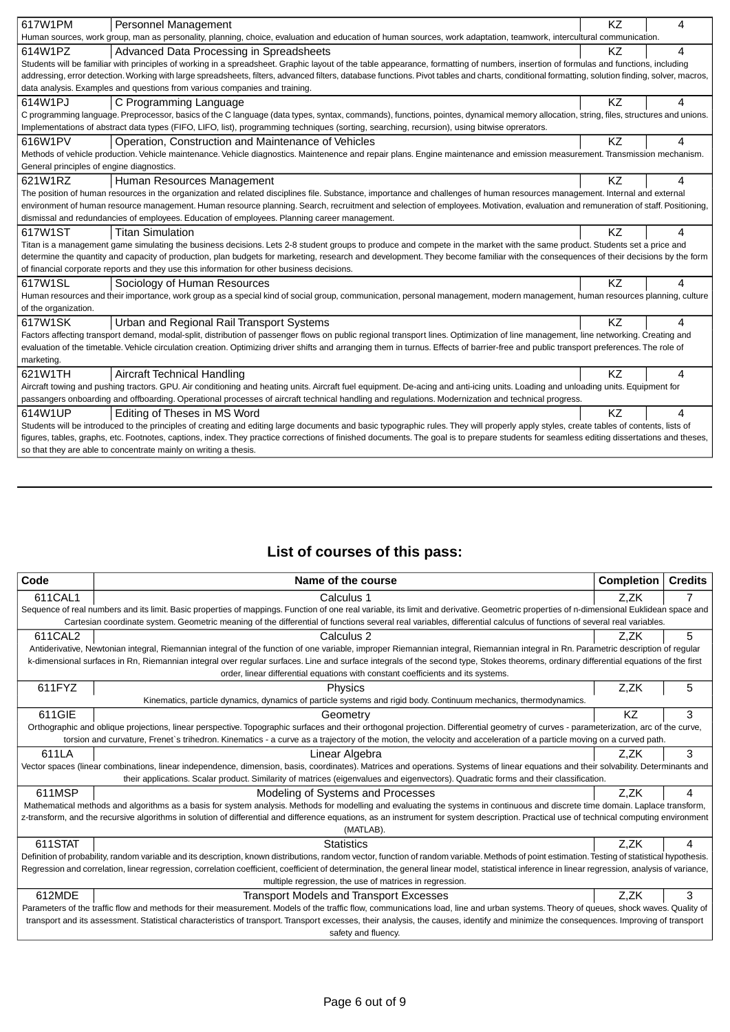| 617W1PM<br>Personnel Management                                                                                                                                                                 | KZ        | 4 |  |  |
|-------------------------------------------------------------------------------------------------------------------------------------------------------------------------------------------------|-----------|---|--|--|
| Human sources, work group, man as personality, planning, choice, evaluation and education of human sources, work adaptation, teamwork, intercultural communication.                             |           |   |  |  |
| Advanced Data Processing in Spreadsheets<br>614W1PZ                                                                                                                                             | KZ.       | 4 |  |  |
| Students will be familiar with principles of working in a spreadsheet. Graphic layout of the table appearance, formatting of numbers, insertion of formulas and functions, including            |           |   |  |  |
| addressing, error detection. Working with large spreadsheets, filters, advanced filters, database functions. Pivot tables and charts, conditional formatting, solution finding, solver, macros, |           |   |  |  |
| data analysis. Examples and questions from various companies and training.                                                                                                                      |           |   |  |  |
| 614W1PJ<br>C Programming Language                                                                                                                                                               | KZ        | 4 |  |  |
| C programming language. Preprocessor, basics of the C language (data types, syntax, commands), functions, pointes, dynamical memory allocation, string, files, structures and unions.           |           |   |  |  |
| Implementations of abstract data types (FIFO, LIFO, list), programming techniques (sorting, searching, recursion), using bitwise oprerators.                                                    |           |   |  |  |
| 616W1PV<br>Operation, Construction and Maintenance of Vehicles                                                                                                                                  | <b>KZ</b> | 4 |  |  |
| Methods of vehicle production. Vehicle maintenance. Vehicle diagnostics. Maintenence and repair plans. Engine maintenance and emission measurement. Transmission mechanism.                     |           |   |  |  |
| General principles of engine diagnostics.                                                                                                                                                       |           |   |  |  |
| 621W1RZ<br>Human Resources Management                                                                                                                                                           | KZ        | 4 |  |  |
| The position of human resources in the organization and related disciplines file. Substance, importance and challenges of human resources management. Internal and external                     |           |   |  |  |
| environment of human resource management. Human resource planning. Search, recruitment and selection of employees. Motivation, evaluation and remuneration of staff. Positioning,               |           |   |  |  |
| dismissal and redundancies of employees. Education of employees. Planning career management.                                                                                                    |           |   |  |  |
| 617W1ST<br><b>Titan Simulation</b>                                                                                                                                                              | KZ        | 4 |  |  |
| Titan is a management game simulating the business decisions. Lets 2-8 student groups to produce and compete in the market with the same product. Students set a price and                      |           |   |  |  |
| determine the quantity and capacity of production, plan budgets for marketing, research and development. They become familiar with the consequences of their decisions by the form              |           |   |  |  |
| of financial corporate reports and they use this information for other business decisions.                                                                                                      |           |   |  |  |
| 617W1SL<br>Sociology of Human Resources                                                                                                                                                         | KZ        | 4 |  |  |
| Human resources and their importance, work group as a special kind of social group, communication, personal management, modern management, human resources planning, culture                    |           |   |  |  |
| of the organization.                                                                                                                                                                            |           |   |  |  |
| 617W1SK<br>Urban and Regional Rail Transport Systems                                                                                                                                            | KZ        | 4 |  |  |
| Factors affecting transport demand, modal-split, distribution of passenger flows on public regional transport lines. Optimization of line management, line networking. Creating and             |           |   |  |  |
| evaluation of the timetable. Vehicle circulation creation. Optimizing driver shifts and arranging them in turnus. Effects of barrier-free and public transport preferences. The role of         |           |   |  |  |
| marketing.                                                                                                                                                                                      |           |   |  |  |
| 621W1TH<br><b>Aircraft Technical Handling</b>                                                                                                                                                   | KZ        | 4 |  |  |
| Aircraft towing and pushing tractors. GPU. Air conditioning and heating units. Aircraft fuel equipment. De-acing and anti-icing units. Loading and unloading units. Equipment for               |           |   |  |  |
| passangers onboarding and offboarding. Operational processes of aircraft technical handling and regulations. Modernization and technical progress.                                              |           |   |  |  |
| 614W1UP<br>Editing of Theses in MS Word                                                                                                                                                         | <b>KZ</b> | 4 |  |  |
| Students will be introduced to the principles of creating and editing large documents and basic typographic rules. They will properly apply styles, create tables of contents, lists of         |           |   |  |  |
| figures, tables, graphs, etc. Footnotes, captions, index. They practice corrections of finished documents. The goal is to prepare students for seamless editing dissertations and theses,       |           |   |  |  |
| so that they are able to concentrate mainly on writing a thesis.                                                                                                                                |           |   |  |  |

# **List of courses of this pass:**

| Code                                                                                                                                                                                              | Name of the course                                                                                                                                                                               | <b>Completion</b> | <b>Credits</b> |  |  |  |
|---------------------------------------------------------------------------------------------------------------------------------------------------------------------------------------------------|--------------------------------------------------------------------------------------------------------------------------------------------------------------------------------------------------|-------------------|----------------|--|--|--|
| 611CAL1                                                                                                                                                                                           | Calculus 1                                                                                                                                                                                       | Z.ZK              |                |  |  |  |
|                                                                                                                                                                                                   | Sequence of real numbers and its limit. Basic properties of mappings. Function of one real variable, its limit and derivative. Geometric properties of n-dimensional Euklidean space and         |                   |                |  |  |  |
| Cartesian coordinate system. Geometric meaning of the differential of functions several real variables, differential calculus of functions of several real variables.                             |                                                                                                                                                                                                  |                   |                |  |  |  |
| 611CAL2                                                                                                                                                                                           | Calculus 2                                                                                                                                                                                       | Z.ZK              | 5              |  |  |  |
|                                                                                                                                                                                                   | Antiderivative, Newtonian integral, Riemannian integral of the function of one variable, improper Riemannian integral, Riemannian integral in Rn. Parametric description of regular              |                   |                |  |  |  |
|                                                                                                                                                                                                   | k-dimensional surfaces in Rn, Riemannian integral over regular surfaces. Line and surface integrals of the second type, Stokes theorems, ordinary differential equations of the first            |                   |                |  |  |  |
|                                                                                                                                                                                                   | order, linear differential equations with constant coefficients and its systems.                                                                                                                 |                   |                |  |  |  |
| 611FYZ                                                                                                                                                                                            | Physics                                                                                                                                                                                          | Z.ZK              | 5              |  |  |  |
|                                                                                                                                                                                                   | Kinematics, particle dynamics, dynamics of particle systems and rigid body. Continuum mechanics, thermodynamics.                                                                                 |                   |                |  |  |  |
| 611GIE                                                                                                                                                                                            | Geometry                                                                                                                                                                                         | KZ                | 3              |  |  |  |
|                                                                                                                                                                                                   | Orthographic and oblique projections, linear perspective. Topographic surfaces and their orthogonal projection. Differential geometry of curves - parameterization, arc of the curve,            |                   |                |  |  |  |
|                                                                                                                                                                                                   | torsion and curvature, Frenet's trihedron. Kinematics - a curve as a trajectory of the motion, the velocity and acceleration of a particle moving on a curved path.                              |                   |                |  |  |  |
| 611LA                                                                                                                                                                                             | Linear Algebra                                                                                                                                                                                   | Z.ZK              | 3              |  |  |  |
|                                                                                                                                                                                                   | Vector spaces (linear combinations, linear independence, dimension, basis, coordinates). Matrices and operations. Systems of linear equations and their solvability. Determinants and            |                   |                |  |  |  |
|                                                                                                                                                                                                   | their applications. Scalar product. Similarity of matrices (eigenvalues and eigenvectors). Quadratic forms and their classification.                                                             |                   |                |  |  |  |
| 611MSP                                                                                                                                                                                            | Modeling of Systems and Processes                                                                                                                                                                | Z.ZK              | 4              |  |  |  |
|                                                                                                                                                                                                   | Mathematical methods and algorithms as a basis for system analysis. Methods for modelling and evaluating the systems in continuous and discrete time domain. Laplace transform,                  |                   |                |  |  |  |
| z-transform, and the recursive algorithms in solution of differential and difference equations, as an instrument for system description. Practical use of technical computing environment         |                                                                                                                                                                                                  |                   |                |  |  |  |
| (MATLAB).                                                                                                                                                                                         |                                                                                                                                                                                                  |                   |                |  |  |  |
| 611STAT                                                                                                                                                                                           | <b>Statistics</b>                                                                                                                                                                                | Z.ZK              | 4              |  |  |  |
|                                                                                                                                                                                                   | Definition of probability, random variable and its description, known distributions, random vector, function of random variable. Methods of point estimation. Testing of statistical hypothesis. |                   |                |  |  |  |
| Regression and correlation, linear regression, correlation coefficient, coefficient of determination, the general linear model, statistical inference in linear regression, analysis of variance, |                                                                                                                                                                                                  |                   |                |  |  |  |
| multiple regression, the use of matrices in regression.                                                                                                                                           |                                                                                                                                                                                                  |                   |                |  |  |  |
| 612MDE                                                                                                                                                                                            | <b>Transport Models and Transport Excesses</b>                                                                                                                                                   | Z.ZK              | 3              |  |  |  |
|                                                                                                                                                                                                   | Parameters of the traffic flow and methods for their measurement. Models of the traffic flow, communications load, line and urban systems. Theory of queues, shock waves. Quality of             |                   |                |  |  |  |
| transport and its assessment. Statistical characteristics of transport. Transport excesses, their analysis, the causes, identify and minimize the consequences. Improving of transport            |                                                                                                                                                                                                  |                   |                |  |  |  |
| safety and fluency.                                                                                                                                                                               |                                                                                                                                                                                                  |                   |                |  |  |  |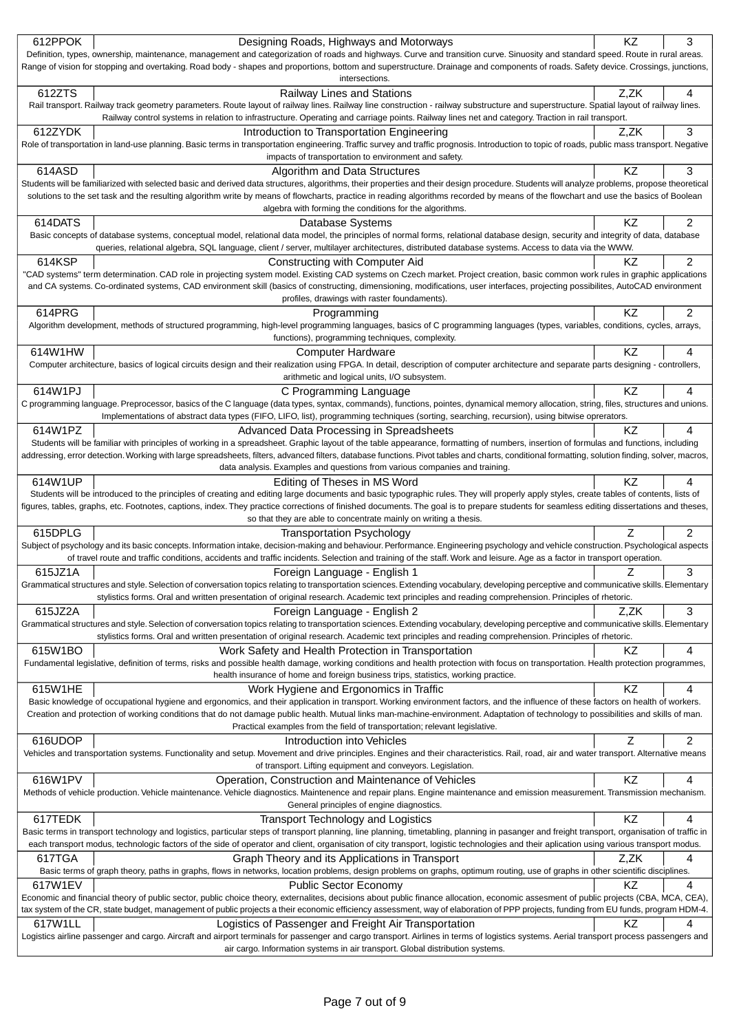|         | Designing Roads, Highways and Motorways                                                                                                                                                                                                                                                                                                                                                 | KZ   | 3              |
|---------|-----------------------------------------------------------------------------------------------------------------------------------------------------------------------------------------------------------------------------------------------------------------------------------------------------------------------------------------------------------------------------------------|------|----------------|
|         | Definition, types, ownership, maintenance, management and categorization of roads and highways. Curve and transition curve. Sinuosity and standard speed. Route in rural areas.                                                                                                                                                                                                         |      |                |
|         | Range of vision for stopping and overtaking. Road body - shapes and proportions, bottom and superstructure. Drainage and components of roads. Safety device. Crossings, junctions,<br>intersections.                                                                                                                                                                                    |      |                |
| 612ZTS  | <b>Railway Lines and Stations</b>                                                                                                                                                                                                                                                                                                                                                       | Z,ZK | 4              |
|         | Rail transport. Railway track geometry parameters. Route layout of railway lines. Railway line construction - railway substructure and superstructure. Spatial layout of railway lines.                                                                                                                                                                                                 |      |                |
|         | Railway control systems in relation to infrastructure. Operating and carriage points. Railway lines net and category. Traction in rail transport.                                                                                                                                                                                                                                       |      |                |
| 612ZYDK | Introduction to Transportation Engineering                                                                                                                                                                                                                                                                                                                                              | Z,ZK | 3              |
|         | Role of transportation in land-use planning. Basic terms in transportation engineering. Traffic survey and traffic prognosis. Introduction to topic of roads, public mass transport. Negative<br>impacts of transportation to environment and safety.                                                                                                                                   |      |                |
| 614ASD  | Algorithm and Data Structures                                                                                                                                                                                                                                                                                                                                                           | KZ   | 3              |
|         | Students will be familiarized with selected basic and derived data structures, algorithms, their properties and their design procedure. Students will analyze problems, propose theoretical                                                                                                                                                                                             |      |                |
|         | solutions to the set task and the resulting algorithm write by means of flowcharts, practice in reading algorithms recorded by means of the flowchart and use the basics of Boolean                                                                                                                                                                                                     |      |                |
|         | algebra with forming the conditions for the algorithms.                                                                                                                                                                                                                                                                                                                                 |      |                |
| 614DATS | Database Systems                                                                                                                                                                                                                                                                                                                                                                        | KZ   | $\overline{2}$ |
|         | Basic concepts of database systems, conceptual model, relational data model, the principles of normal forms, relational database design, security and integrity of data, database<br>queries, relational algebra, SQL language, client / server, multilayer architectures, distributed database systems. Access to data via the WWW.                                                    |      |                |
| 614KSP  | Constructing with Computer Aid                                                                                                                                                                                                                                                                                                                                                          | ΚZ   | $\overline{2}$ |
|         | "CAD systems" term determination. CAD role in projecting system model. Existing CAD systems on Czech market. Project creation, basic common work rules in graphic applications                                                                                                                                                                                                          |      |                |
|         | and CA systems. Co-ordinated systems, CAD environment skill (basics of constructing, dimensioning, modifications, user interfaces, projecting possibilites, AutoCAD environment                                                                                                                                                                                                         |      |                |
|         | profiles, drawings with raster foundaments).                                                                                                                                                                                                                                                                                                                                            |      |                |
| 614PRG  | Programming                                                                                                                                                                                                                                                                                                                                                                             | KZ   | 2              |
|         | Algorithm development, methods of structured programming, high-level programming languages, basics of C programming languages (types, variables, conditions, cycles, arrays,                                                                                                                                                                                                            |      |                |
|         | functions), programming techniques, complexity.                                                                                                                                                                                                                                                                                                                                         | ΚZ   |                |
| 614W1HW | <b>Computer Hardware</b><br>Computer architecture, basics of logical circuits design and their realization using FPGA. In detail, description of computer architecture and separate parts designing - controllers,                                                                                                                                                                      |      | 4              |
|         | arithmetic and logical units, I/O subsystem.                                                                                                                                                                                                                                                                                                                                            |      |                |
| 614W1PJ | C Programming Language                                                                                                                                                                                                                                                                                                                                                                  | KZ   | 4              |
|         | C programming language. Preprocessor, basics of the C language (data types, syntax, commands), functions, pointes, dynamical memory allocation, string, files, structures and unions.                                                                                                                                                                                                   |      |                |
|         | Implementations of abstract data types (FIFO, LIFO, list), programming techniques (sorting, searching, recursion), using bitwise oprerators.                                                                                                                                                                                                                                            |      |                |
| 614W1PZ | Advanced Data Processing in Spreadsheets                                                                                                                                                                                                                                                                                                                                                | KZ   | 4              |
|         | Students will be familiar with principles of working in a spreadsheet. Graphic layout of the table appearance, formatting of numbers, insertion of formulas and functions, including<br>addressing, error detection. Working with large spreadsheets, filters, advanced filters, database functions. Pivot tables and charts, conditional formatting, solution finding, solver, macros, |      |                |
|         | data analysis. Examples and questions from various companies and training.                                                                                                                                                                                                                                                                                                              |      |                |
| 614W1UP | Editing of Theses in MS Word                                                                                                                                                                                                                                                                                                                                                            | ΚZ   | 4              |
|         | Students will be introduced to the principles of creating and editing large documents and basic typographic rules. They will properly apply styles, create tables of contents, lists of                                                                                                                                                                                                 |      |                |
|         | figures, tables, graphs, etc. Footnotes, captions, index. They practice corrections of finished documents. The goal is to prepare students for seamless editing dissertations and theses,                                                                                                                                                                                               |      |                |
|         | so that they are able to concentrate mainly on writing a thesis.                                                                                                                                                                                                                                                                                                                        |      |                |
| 615DPLG | <b>Transportation Psychology</b>                                                                                                                                                                                                                                                                                                                                                        |      |                |
|         |                                                                                                                                                                                                                                                                                                                                                                                         | Z    | $\overline{2}$ |
|         | Subject of psychology and its basic concepts. Information intake, decision-making and behaviour. Performance. Engineering psychology and vehicle construction. Psychological aspects                                                                                                                                                                                                    |      |                |
|         | of travel route and traffic conditions, accidents and traffic incidents. Selection and training of the staff. Work and leisure. Age as a factor in transport operation.                                                                                                                                                                                                                 | Ζ    |                |
| 615JZ1A | Foreign Language - English 1<br>Grammatical structures and style. Selection of conversation topics relating to transportation sciences. Extending vocabulary, developing perceptive and communicative skills. Elementary                                                                                                                                                                |      | 3              |
|         | stylistics forms. Oral and written presentation of original research. Academic text principles and reading comprehension. Principles of rhetoric.                                                                                                                                                                                                                                       |      |                |
| 615JZ2A | Foreign Language - English 2                                                                                                                                                                                                                                                                                                                                                            | Z.ZK | 3              |
|         | Grammatical structures and style. Selection of conversation topics relating to transportation sciences. Extending vocabulary, developing perceptive and communicative skills. Elementary                                                                                                                                                                                                |      |                |
|         | stylistics forms. Oral and written presentation of original research. Academic text principles and reading comprehension. Principles of rhetoric.                                                                                                                                                                                                                                       |      |                |
| 615W1BO | Work Safety and Health Protection in Transportation                                                                                                                                                                                                                                                                                                                                     | KZ   | 4              |
|         | Fundamental legislative, definition of terms, risks and possible health damage, working conditions and health protection with focus on transportation. Health protection programmes,<br>health insurance of home and foreign business trips, statistics, working practice.                                                                                                              |      |                |
| 615W1HE | Work Hygiene and Ergonomics in Traffic                                                                                                                                                                                                                                                                                                                                                  | KZ   | 4              |
|         | Basic knowledge of occupational hygiene and ergonomics, and their application in transport. Working environment factors, and the influence of these factors on health of workers.                                                                                                                                                                                                       |      |                |
|         | Creation and protection of working conditions that do not damage public health. Mutual links man-machine-environment. Adaptation of technology to possibilities and skills of man.                                                                                                                                                                                                      |      |                |
|         | Practical examples from the field of transportation; relevant legislative.                                                                                                                                                                                                                                                                                                              |      |                |
| 616UDOP | Introduction into Vehicles                                                                                                                                                                                                                                                                                                                                                              | Ζ    | 2              |
|         | Vehicles and transportation systems. Functionality and setup. Movement and drive principles. Engines and their characteristics. Rail, road, air and water transport. Alternative means<br>of transport. Lifting equipment and conveyors. Legislation.                                                                                                                                   |      |                |
| 616W1PV | Operation, Construction and Maintenance of Vehicles                                                                                                                                                                                                                                                                                                                                     | KZ   | 4              |
|         | Methods of vehicle production. Vehicle maintenance. Vehicle diagnostics. Maintenence and repair plans. Engine maintenance and emission measurement. Transmission mechanism.                                                                                                                                                                                                             |      |                |
|         | General principles of engine diagnostics.                                                                                                                                                                                                                                                                                                                                               |      |                |
| 617TEDK | <b>Transport Technology and Logistics</b>                                                                                                                                                                                                                                                                                                                                               | KZ   | 4              |
|         | Basic terms in transport technology and logistics, particular steps of transport planning, line planning, timetabling, planning in pasanger and freight transport, organisation of traffic in                                                                                                                                                                                           |      |                |
|         | each transport modus, technologic factors of the side of operator and client, organisation of city transport, logistic technologies and their aplication using various transport modus.                                                                                                                                                                                                 |      | 4              |
| 617TGA  | Graph Theory and its Applications in Transport<br>Basic terms of graph theory, paths in graphs, flows in networks, location problems, design problems on graphs, optimum routing, use of graphs in other scientific disciplines.                                                                                                                                                        | Z.ZK |                |
| 617W1EV | <b>Public Sector Economy</b>                                                                                                                                                                                                                                                                                                                                                            | ΚZ   | 4              |
|         | Economic and financial theory of public sector, public choice theory, externalites, decisions about public finance allocation, economic assesment of public projects (CBA, MCA, CEA),                                                                                                                                                                                                   |      |                |
|         | tax system of the CR, state budget, management of public projects a their economic efficiency assessment, way of elaboration of PPP projects, funding from EU funds, program HDM-4.                                                                                                                                                                                                     |      |                |
| 617W1LL | Logistics of Passenger and Freight Air Transportation                                                                                                                                                                                                                                                                                                                                   | KZ   | 4              |
|         | Logistics airline passenger and cargo. Aircraft and airport terminals for passenger and cargo transport. Airlines in terms of logistics systems. Aerial transport process passengers and<br>air cargo. Information systems in air transport. Global distribution systems.                                                                                                               |      |                |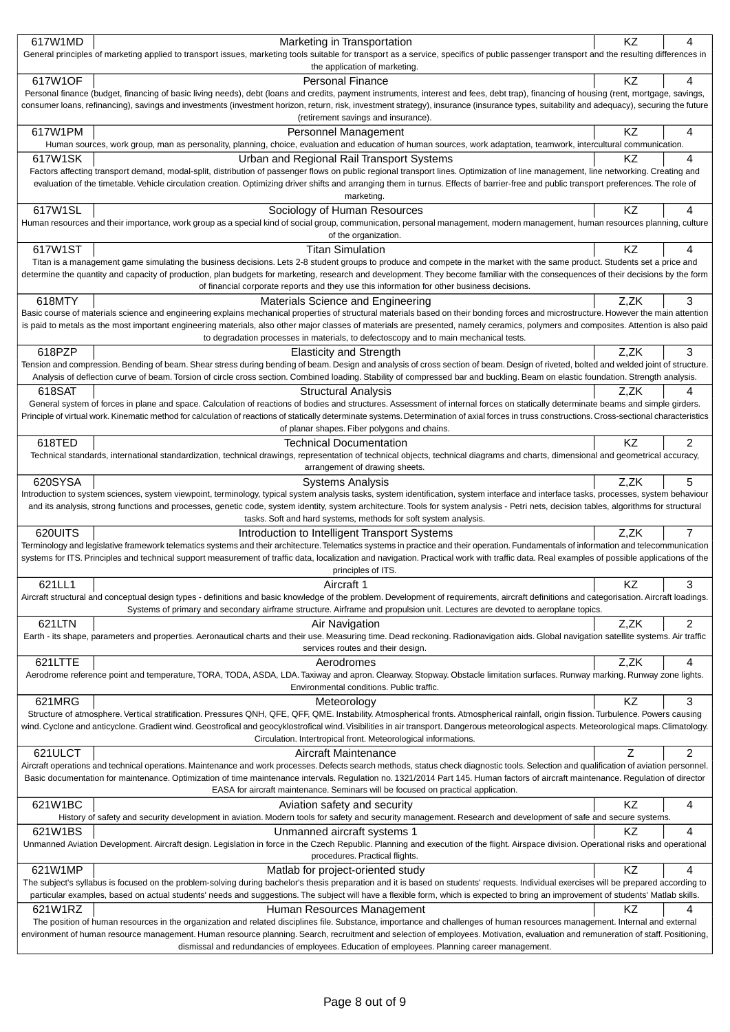| 617W1MD | Marketing in Transportation                                                                                                                                                                                                                                                                                                                                                          | KZ   | 4              |
|---------|--------------------------------------------------------------------------------------------------------------------------------------------------------------------------------------------------------------------------------------------------------------------------------------------------------------------------------------------------------------------------------------|------|----------------|
|         | General principles of marketing applied to transport issues, marketing tools suitable for transport as a service, specifics of public passenger transport and the resulting differences in                                                                                                                                                                                           |      |                |
|         | the application of marketing.                                                                                                                                                                                                                                                                                                                                                        |      |                |
| 617W1OF | <b>Personal Finance</b>                                                                                                                                                                                                                                                                                                                                                              | KZ   | 4              |
|         | Personal finance (budget, financing of basic living needs), debt (loans and credits, payment instruments, interest and fees, debt trap), financing of housing (rent, mortgage, savings,<br>consumer loans, refinancing), savings and investments (investment horizon, return, risk, investment strategy), insurance (insurance types, suitability and adequacy), securing the future |      |                |
|         | (retirement savings and insurance).                                                                                                                                                                                                                                                                                                                                                  |      |                |
| 617W1PM | Personnel Management                                                                                                                                                                                                                                                                                                                                                                 | KZ   | 4              |
|         | Human sources, work group, man as personality, planning, choice, evaluation and education of human sources, work adaptation, teamwork, intercultural communication.                                                                                                                                                                                                                  |      |                |
| 617W1SK | Urban and Regional Rail Transport Systems                                                                                                                                                                                                                                                                                                                                            | KZ   | 4              |
|         | Factors affecting transport demand, modal-split, distribution of passenger flows on public regional transport lines. Optimization of line management, line networking. Creating and                                                                                                                                                                                                  |      |                |
|         | evaluation of the timetable. Vehicle circulation creation. Optimizing driver shifts and arranging them in turnus. Effects of barrier-free and public transport preferences. The role of                                                                                                                                                                                              |      |                |
|         | marketing.                                                                                                                                                                                                                                                                                                                                                                           |      |                |
| 617W1SL | Sociology of Human Resources                                                                                                                                                                                                                                                                                                                                                         | KZ   | 4              |
|         | Human resources and their importance, work group as a special kind of social group, communication, personal management, modern management, human resources planning, culture                                                                                                                                                                                                         |      |                |
| 617W1ST | of the organization.<br><b>Titan Simulation</b>                                                                                                                                                                                                                                                                                                                                      | KZ   | 4              |
|         | Titan is a management game simulating the business decisions. Lets 2-8 student groups to produce and compete in the market with the same product. Students set a price and                                                                                                                                                                                                           |      |                |
|         | determine the quantity and capacity of production, plan budgets for marketing, research and development. They become familiar with the consequences of their decisions by the form                                                                                                                                                                                                   |      |                |
|         | of financial corporate reports and they use this information for other business decisions.                                                                                                                                                                                                                                                                                           |      |                |
| 618MTY  | Materials Science and Engineering                                                                                                                                                                                                                                                                                                                                                    | Z,ZK | 3              |
|         | Basic course of materials science and engineering explains mechanical properties of structural materials based on their bonding forces and microstructure. However the main attention                                                                                                                                                                                                |      |                |
|         | is paid to metals as the most important engineering materials, also other major classes of materials are presented, namely ceramics, polymers and composites. Attention is also paid                                                                                                                                                                                                 |      |                |
|         | to degradation processes in materials, to defectoscopy and to main mechanical tests.                                                                                                                                                                                                                                                                                                 |      |                |
| 618PZP  | <b>Elasticity and Strength</b><br>Tension and compression. Bending of beam. Shear stress during bending of beam. Design and analysis of cross section of beam. Design of riveted, bolted and welded joint of structure.                                                                                                                                                              | Z,ZK | 3              |
|         | Analysis of deflection curve of beam. Torsion of circle cross section. Combined loading. Stability of compressed bar and buckling. Beam on elastic foundation. Strength analysis.                                                                                                                                                                                                    |      |                |
| 618SAT  | <b>Structural Analysis</b>                                                                                                                                                                                                                                                                                                                                                           | Z,ZK | 4              |
|         | General system of forces in plane and space. Calculation of reactions of bodies and structures. Assessment of internal forces on statically determinate beams and simple girders.                                                                                                                                                                                                    |      |                |
|         | Principle of virtual work. Kinematic method for calculation of reactions of statically determinate systems. Determination of axial forces in truss constructions. Cross-sectional characteristics                                                                                                                                                                                    |      |                |
|         | of planar shapes. Fiber polygons and chains.                                                                                                                                                                                                                                                                                                                                         |      |                |
| 618TED  | <b>Technical Documentation</b>                                                                                                                                                                                                                                                                                                                                                       | ΚZ   | 2              |
|         | Technical standards, international standardization, technical drawings, representation of technical objects, technical diagrams and charts, dimensional and geometrical accuracy,                                                                                                                                                                                                    |      |                |
|         | arrangement of drawing sheets.                                                                                                                                                                                                                                                                                                                                                       |      |                |
| 620SYSA | <b>Systems Analysis</b><br>Introduction to system sciences, system viewpoint, terminology, typical system analysis tasks, system identification, system interface and interface tasks, processes, system behaviour                                                                                                                                                                   | Z,ZK | 5              |
|         | and its analysis, strong functions and processes, genetic code, system identity, system architecture. Tools for system analysis - Petri nets, decision tables, algorithms for structural                                                                                                                                                                                             |      |                |
|         | tasks. Soft and hard systems, methods for soft system analysis.                                                                                                                                                                                                                                                                                                                      |      |                |
| 620UITS | Introduction to Intelligent Transport Systems                                                                                                                                                                                                                                                                                                                                        | Z,ZK | $\overline{7}$ |
|         | Terminology and legislative framework telematics systems and their architecture. Telematics systems in practice and their operation. Fundamentals of information and telecommunication                                                                                                                                                                                               |      |                |
|         | systems for ITS. Principles and technical support measurement of traffic data, localization and navigation. Practical work with traffic data. Real examples of possible applications of the                                                                                                                                                                                          |      |                |
|         | principles of ITS.                                                                                                                                                                                                                                                                                                                                                                   |      |                |
| 621LL1  | Aircraft 1<br>Aircraft structural and conceptual design types - definitions and basic knowledge of the problem. Development of requirements, aircraft definitions and categorisation. Aircraft loadings.                                                                                                                                                                             | KZ   | 3              |
|         | Systems of primary and secondary airframe structure. Airframe and propulsion unit. Lectures are devoted to aeroplane topics.                                                                                                                                                                                                                                                         |      |                |
| 621LTN  | Air Navigation                                                                                                                                                                                                                                                                                                                                                                       | Z,ZK | 2              |
|         | Earth - its shape, parameters and properties. Aeronautical charts and their use. Measuring time. Dead reckoning. Radionavigation aids. Global navigation satellite systems. Air traffic                                                                                                                                                                                              |      |                |
|         | services routes and their design.                                                                                                                                                                                                                                                                                                                                                    |      |                |
| 621LTTE | Aerodromes                                                                                                                                                                                                                                                                                                                                                                           | Z,ZK | 4              |
|         | Aerodrome reference point and temperature, TORA, TODA, ASDA, LDA. Taxiway and apron. Clearway. Stopway. Obstacle limitation surfaces. Runway marking. Runway zone lights.                                                                                                                                                                                                            |      |                |
|         | Environmental conditions. Public traffic.                                                                                                                                                                                                                                                                                                                                            |      |                |
| 621MRG  | Meteorology                                                                                                                                                                                                                                                                                                                                                                          |      | 3              |
|         |                                                                                                                                                                                                                                                                                                                                                                                      | KZ   |                |
|         | Structure of atmosphere. Vertical stratification. Pressures QNH, QFE, QFF, QME. Instability. Atmospherical fronts. Atmospherical rainfall, origin fission. Turbulence. Powers causing                                                                                                                                                                                                |      |                |
|         | wind. Cyclone and anticyclone. Gradient wind. Geostrofical and geocyklostrofical wind. Visibilities in air transport. Dangerous meteorological aspects. Meteorological maps. Climatology.<br>Circulation. Intertropical front. Meteorological informations.                                                                                                                          |      |                |
| 621ULCT | Aircraft Maintenance                                                                                                                                                                                                                                                                                                                                                                 | Ζ    | 2              |
|         | Aircraft operations and technical operations. Maintenance and work processes. Defects search methods, status check diagnostic tools. Selection and qualification of aviation personnel.                                                                                                                                                                                              |      |                |
|         | Basic documentation for maintenance. Optimization of time maintenance intervals. Regulation no. 1321/2014 Part 145. Human factors of aircraft maintenance. Regulation of director                                                                                                                                                                                                    |      |                |
|         | EASA for aircraft maintenance. Seminars will be focused on practical application.                                                                                                                                                                                                                                                                                                    |      |                |
| 621W1BC | Aviation safety and security                                                                                                                                                                                                                                                                                                                                                         | KZ   | 4              |
|         | History of safety and security development in aviation. Modern tools for safety and security management. Research and development of safe and secure systems.                                                                                                                                                                                                                        |      |                |
| 621W1BS | Unmanned aircraft systems 1                                                                                                                                                                                                                                                                                                                                                          | ΚZ   | 4              |
|         | Unmanned Aviation Development. Aircraft design. Legislation in force in the Czech Republic. Planning and execution of the flight. Airspace division. Operational risks and operational<br>procedures. Practical flights.                                                                                                                                                             |      |                |
| 621W1MP | Matlab for project-oriented study                                                                                                                                                                                                                                                                                                                                                    | KZ   | 4              |
|         | The subject's syllabus is focused on the problem-solving during bachelor's thesis preparation and it is based on students' requests. Individual exercises will be prepared according to                                                                                                                                                                                              |      |                |
|         | particular examples, based on actual students' needs and suggestions. The subject will have a flexible form, which is expected to bring an improvement of students' Matlab skills.                                                                                                                                                                                                   |      |                |
| 621W1RZ | Human Resources Management                                                                                                                                                                                                                                                                                                                                                           | KZ   | 4              |
|         | The position of human resources in the organization and related disciplines file. Substance, importance and challenges of human resources management. Internal and external                                                                                                                                                                                                          |      |                |
|         | environment of human resource management. Human resource planning. Search, recruitment and selection of employees. Motivation, evaluation and remuneration of staff. Positioning,<br>dismissal and redundancies of employees. Education of employees. Planning career management.                                                                                                    |      |                |